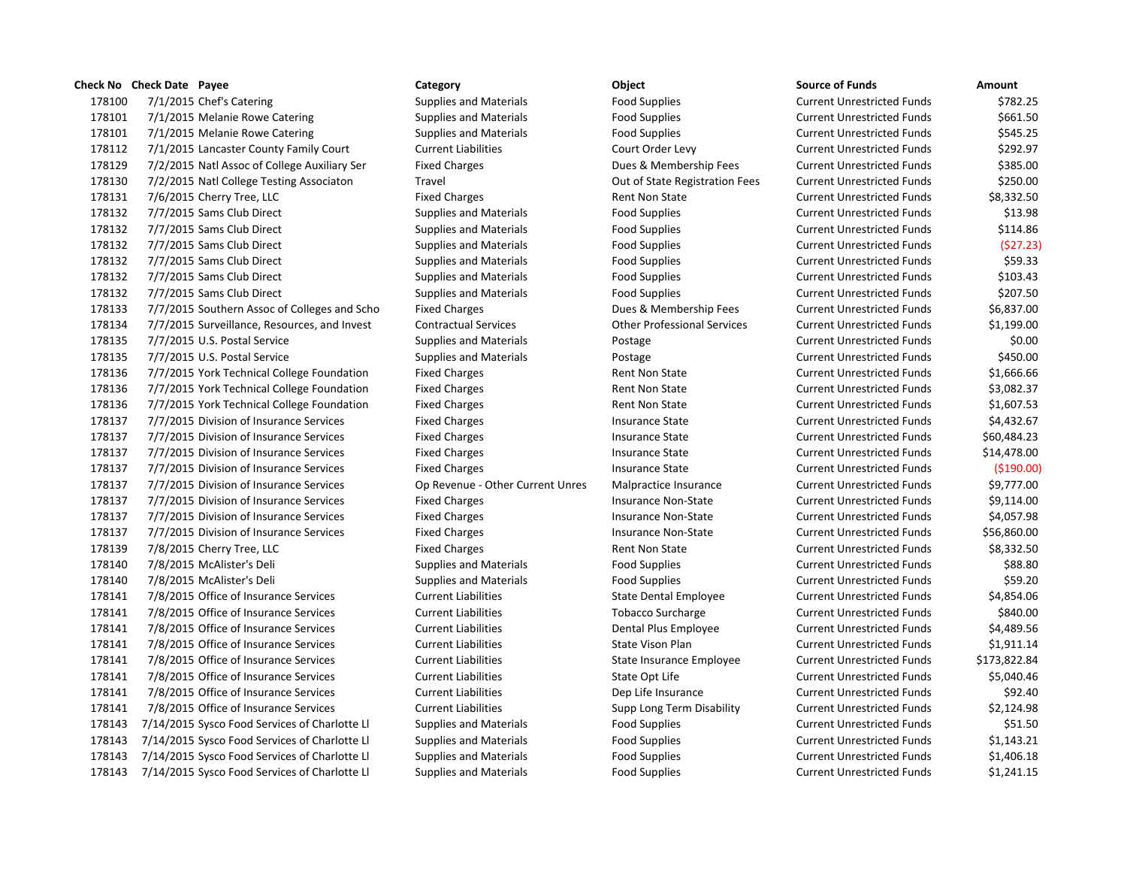178100 7/1/2015 Chef's Catering The Supplies and Materials Food Supplies Food Supplies Current Unrestricted Funds \$782.25 178101 7/1/2015 Melanie Rowe Catering Supplies and Materials Food Supplies Food Supplies Current Unrestricted Funds \$661.50 178101 7/1/2015 Melanie Rowe Catering Supplies and Materials Food Supplies Food Supplies Current Unrestricted Funds \$545.25 7/1/2015 Lancaster County Family Court Current Liabilities Court Order Levy Current Unrestricted Funds \$292.97 178129 7/2/2015 Natl Assoc of College Auxiliary Ser Fixed Charges Dues & Membership Fees Current Unrestricted Funds \$385.00 7/2/2015 Natl College Testing Associaton Travel Out of State Registration Fees Current Unrestricted Funds \$250.00 178131 7/6/2015 Cherry Tree, LLC **Fixed Charges** Fixed Charges Rent Non State Current Unrestricted Funds \$8,332.50 7/7/2015 Sams Club Direct Supplies and Materials Food Supplies Current Unrestricted Funds \$13.98 178132 7/7/2015 Sams Club Direct Supplies and Materials Food Supplies Food Supplies Current Unrestricted Funds \$114.86 7/7/2015 Sams Club Direct Supplies and Materials Food Supplies Current Unrestricted Funds (\$27.23) 7/7/2015 Sams Club Direct Supplies and Materials Food Supplies Current Unrestricted Funds \$59.33 7/7/2015 Sams Club Direct Supplies and Materials Food Supplies Current Unrestricted Funds \$103.43 7/7/2015 Sams Club Direct Supplies and Materials Food Supplies Current Unrestricted Funds \$207.50 7/7/2015 Southern Assoc of Colleges and Scho Fixed Charges Dues & Membership Fees Current Unrestricted Funds \$6,837.00 7/7/2015 Surveillance, Resources, and Invest Contractual Services Other Professional Services Current Unrestricted Funds \$1,199.00 178135 7/7/2015 U.S. Postal Service Supplies and Materials Postage Current Unrestricted Funds \$0.00 7/7/2015 U.S. Postal Service Supplies and Materials Postage Current Unrestricted Funds \$450.00 178136 7/7/2015 York Technical College Foundation Fixed Charges Rent Non State Current Unrestricted Funds \$1,666.66 178136 7/7/2015 York Technical College Foundation Fixed Charges Rent Non State Current Unrestricted Funds \$3,082.37 178136 7/7/2015 York Technical College Foundation Fixed Charges Rent Non State Current Unrestricted Funds \$1,607.53 7/7/2015 Division of Insurance Services Fixed Charges Insurance State Current Unrestricted Funds \$4,432.67 178137 7/7/2015 Division of Insurance Services Fixed Charges Insurance State Current Unrestricted Funds \$60,484.23 7/7/2015 Division of Insurance Services Fixed Charges Insurance State Current Unrestricted Funds \$14,478.00 7/7/2015 Division of Insurance Services Fixed Charges Insurance State Current Unrestricted Funds (\$190.00) 7/7/2015 Division of Insurance Services Op Revenue ‐ Other Current Unres Malpractice Insurance Current Unrestricted Funds \$9,777.00 178137 7/7/2015 Division of Insurance Services Fixed Charges Insurance Non-State Current Unrestricted Funds \$9,114.00 178137 7/7/2015 Division of Insurance Services Fixed Charges Insurance Non-State Current Unrestricted Funds \$4,057.98 178137 7/7/2015 Division of Insurance Services Fixed Charges Insurance Non-State Current Unrestricted Funds \$56,860.00 178139 7/8/2015 Cherry Tree, LLC **Fixed Charges** Fixed Charges Rent Non State Current Unrestricted Funds \$8,332.50 7/8/2015 McAlister's Deli Supplies and Materials Food Supplies Current Unrestricted Funds \$88.80 7/8/2015 McAlister's Deli Supplies and Materials Food Supplies Current Unrestricted Funds \$59.20 178141 7/8/2015 Office of Insurance Services Current Liabilities Current Liabilities Current Unrestricted Funds \$4,854.06 7/8/2015 Office of Insurance Services Current Liabilities Tobacco Surcharge Current Unrestricted Funds \$840.00 7/8/2015 Office of Insurance Services Current Liabilities Dental Plus Employee Current Unrestricted Funds \$4,489.56 7/8/2015 Office of Insurance Services Current Liabilities State Vison Plan Current Unrestricted Funds \$1,911.14 7/8/2015 Office of Insurance Services Current Liabilities State Insurance Employee Current Unrestricted Funds \$173,822.84 178141 7/8/2015 Office of Insurance Services Current Liabilities Current Liabilities Current Unrestricted Funds \$5,040.46 7/8/2015 Office of Insurance Services Current Liabilities Dep Life Insurance Current Unrestricted Funds \$92.40 7/8/2015 Office of Insurance Services Current Liabilities Supp Long Term Disability Current Unrestricted Funds \$2,124.98 7/14/2015 Sysco Food Services of Charlotte Ll Supplies and Materials Food Supplies Current Unrestricted Funds \$51.50 7/14/2015 Sysco Food Services of Charlotte Ll Supplies and Materials Food Supplies Current Unrestricted Funds \$1,143.21 7/14/2015 Sysco Food Services of Charlotte Ll Supplies and Materials Food Supplies Current Unrestricted Funds \$1,406.18 7/14/2015 Sysco Food Services of Charlotte Ll Supplies and Materials Food Supplies Current Unrestricted Funds \$1,241.15

# **Check No Check Date Payee Category Object Source of Funds Amount**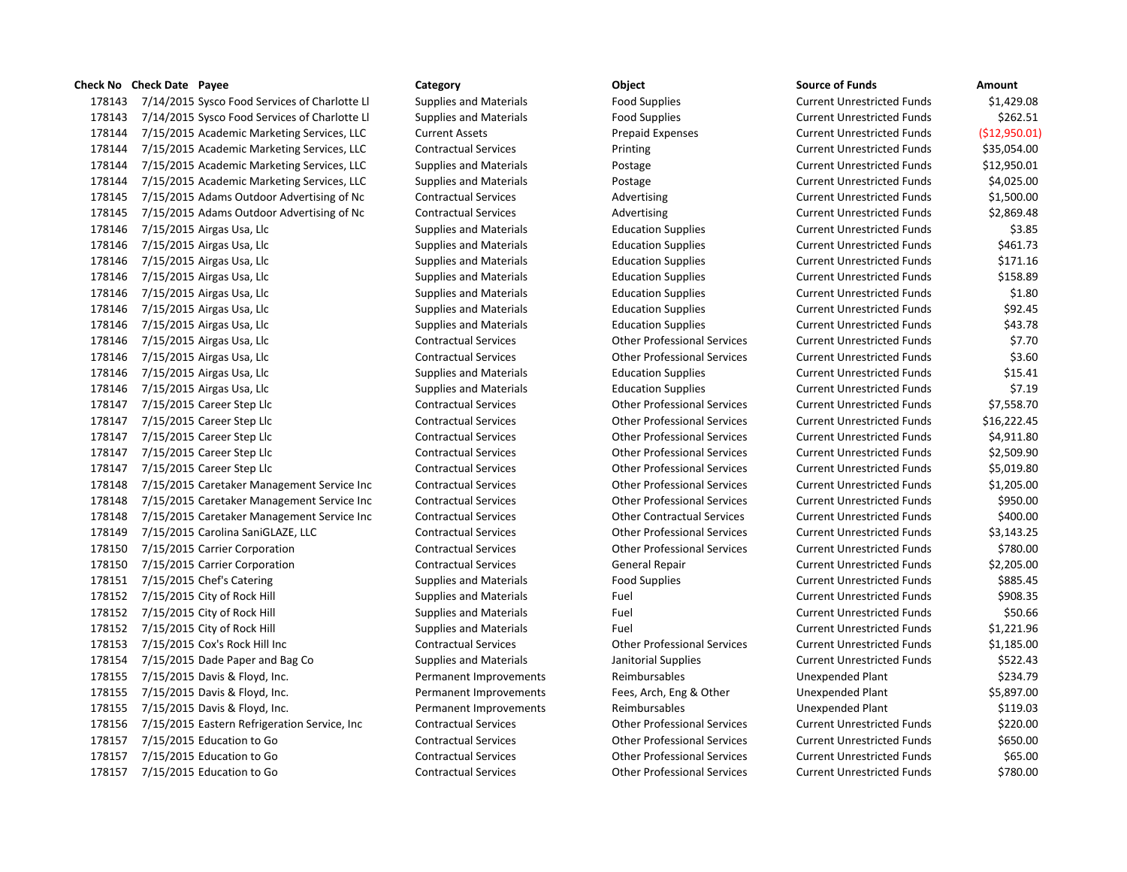7/14/2015 Sysco Food Services of Charlotte Ll Supplies and Materials Food Supplies Current Unrestricted Funds \$1,429.08 178143 7/14/2015 Sysco Food Services of Charlotte Ll Supplies and Materials Food Supplies Current Unrestricted Funds \$262.51 7/15/2015 Academic Marketing Services, LLC Current Assets Prepaid Expenses Current Unrestricted Funds (\$12,950.01) 7/15/2015 Academic Marketing Services, LLC Contractual Services Printing Current Unrestricted Funds \$35,054.00 7/15/2015 Academic Marketing Services, LLC Supplies and Materials Postage Current Unrestricted Funds \$12,950.01 7/15/2015 Academic Marketing Services, LLC Supplies and Materials Postage Current Unrestricted Funds \$4,025.00 178145 7/15/2015 Adams Outdoor Advertising of Nc Contractual Services Advertising Advertising Current Unrestricted Funds \$1,500.00 178145 7/15/2015 Adams Outdoor Advertising of Nc Contractual Services Advertising Advertising Current Unrestricted Funds \$2,869.48 7/15/2015 Airgas Usa, Llc Supplies and Materials Education Supplies Current Unrestricted Funds \$3.85 7/15/2015 Airgas Usa, Llc Supplies and Materials Education Supplies Current Unrestricted Funds \$461.73 7/15/2015 Airgas Usa, Llc Supplies and Materials Education Supplies Current Unrestricted Funds \$171.16 7/15/2015 Airgas Usa, Llc Supplies and Materials Education Supplies Current Unrestricted Funds \$158.89 178146 7/15/2015 Airgas Usa, Llc Supplies and Materials Education Supplies Current Unrestricted Funds \$1.80 7/15/2015 Airgas Usa, Llc Supplies and Materials Education Supplies Current Unrestricted Funds \$92.45 7/15/2015 Airgas Usa, Llc Supplies and Materials Education Supplies Current Unrestricted Funds \$43.78 7/15/2015 Airgas Usa, Llc Contractual Services Other Professional Services Current Unrestricted Funds \$7.70 7/15/2015 Airgas Usa, Llc Contractual Services Other Professional Services Current Unrestricted Funds \$3.60 178146 7/15/2015 Airgas Usa, Llc Supplies and Materials Education Supplies Current Unrestricted Funds \$15.41 178146 7/15/2015 Airgas Usa, Llc State Supplies and Materials Education Supplies Current Unrestricted Funds \$7.19 7/15/2015 Career Step Llc Contractual Services Other Professional Services Current Unrestricted Funds \$7,558.70 7/15/2015 Career Step Llc Contractual Services Other Professional Services Current Unrestricted Funds \$16,222.45 7/15/2015 Career Step Llc Contractual Services Other Professional Services Current Unrestricted Funds \$4,911.80 7/15/2015 Career Step Llc Contractual Services Other Professional Services Current Unrestricted Funds \$2,509.90 7/15/2015 Career Step Llc Contractual Services Other Professional Services Current Unrestricted Funds \$5,019.80 7/15/2015 Caretaker Management Service Inc Contractual Services Other Professional Services Current Unrestricted Funds \$1,205.00 7/15/2015 Caretaker Management Service Inc Contractual Services Other Professional Services Current Unrestricted Funds \$950.00 7/15/2015 Caretaker Management Service Inc Contractual Services Other Contractual Services Current Unrestricted Funds \$400.00 7/15/2015 Carolina SaniGLAZE, LLC Contractual Services Other Professional Services Current Unrestricted Funds \$3,143.25 7/15/2015 Carrier Corporation Contractual Services Other Professional Services Current Unrestricted Funds \$780.00 7/15/2015 Carrier Corporation Contractual Services General Repair Current Unrestricted Funds \$2,205.00 178151 7/15/2015 Chef's Catering The Supplies and Materials Food Supplies Food Supplies Current Unrestricted Funds \$885.45 178152 7/15/2015 City of Rock Hill Supplies and Materials Fuel Fuel Current Unrestricted Funds \$908.35 178152 7/15/2015 City of Rock Hill Supplies and Materials Fuel Fuel Current Unrestricted Funds \$50.66 7/15/2015 City of Rock Hill Supplies and Materials Fuel Current Unrestricted Funds \$1,221.96 7/15/2015 Cox's Rock Hill Inc Contractual Services Other Professional Services Current Unrestricted Funds \$1,185.00 7/15/2015 Dade Paper and Bag Co Supplies and Materials Janitorial Supplies Current Unrestricted Funds \$522.43 7/15/2015 Davis & Floyd, Inc. Permanent Improvements Reimbursables Unexpended Plant \$234.79 7/15/2015 Davis & Floyd, Inc. Permanent Improvements Fees, Arch, Eng & Other Unexpended Plant \$5,897.00 7/15/2015 Davis & Floyd, Inc. Permanent Improvements Reimbursables Unexpended Plant \$119.03 7/15/2015 Eastern Refrigeration Service, Inc Contractual Services Other Professional Services Current Unrestricted Funds \$220.00 7/15/2015 Education to Go Contractual Services Other Professional Services Current Unrestricted Funds \$650.00 7/15/2015 Education to Go Contractual Services Other Professional Services Current Unrestricted Funds \$65.00 7/15/2015 Education to Go Contractual Services Other Professional Services Current Unrestricted Funds \$780.00

**Check No Check Date Payee Category Object Source of Funds Amount**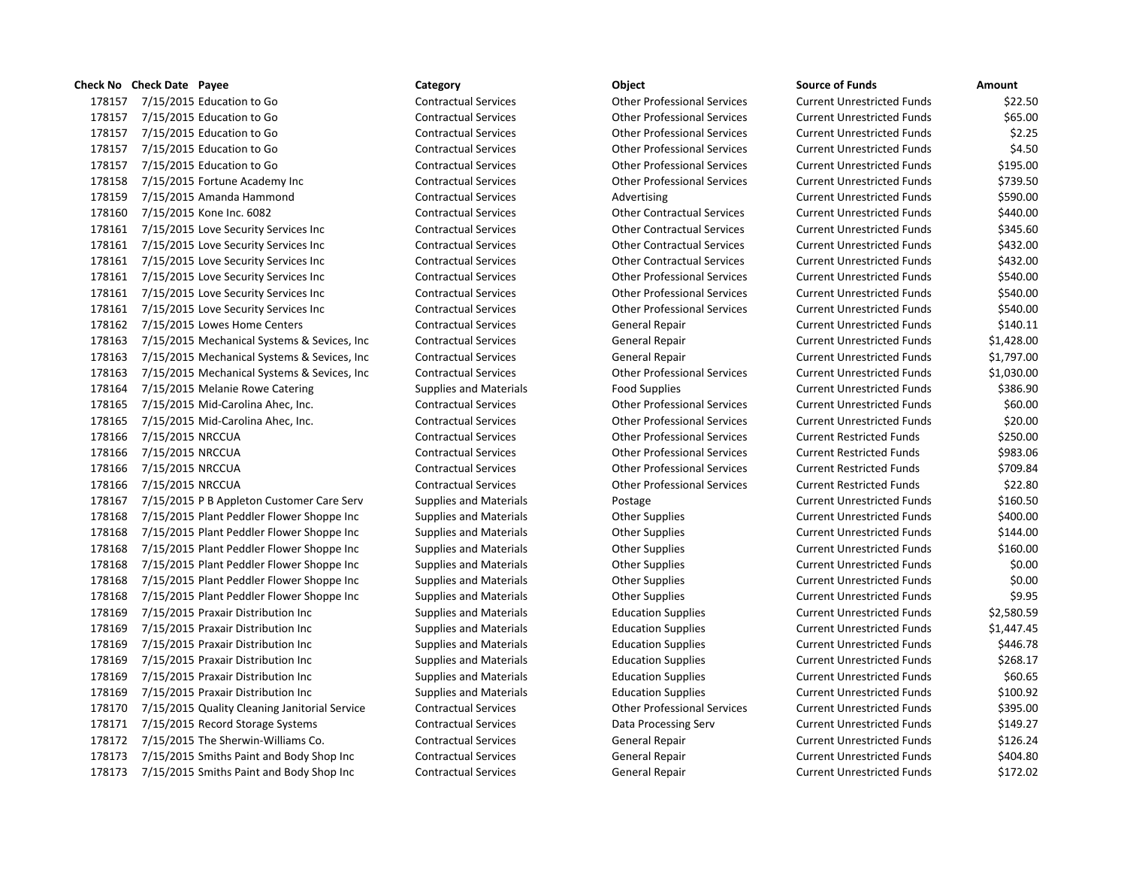## **Check No Check Date Payee Category Object Source of Funds Amount**

178157 7/15/2015 Education to Go Contractual Services Other Professional Services 178157 7/15/2015 Education to Go Contractual Services Contractual Services Current Professional Services 178157 7/15/2015 Education to Go Contractual Services Contractual Services Current Professional Services 178157 7/15/2015 Education to Go Contractual Services Contractual Services Current Professional Services 178157 7/15/2015 Education to Go Contractual Services Contractual Services Current Professional Services 178158 7/15/2015 Fortune Academy Inc Contractual Services Other Professional Services 178159 7/15/2015 Amanda Hammond Contractual Services Advertising 178160 7/15/2015 Kone Inc. 6082 Contractual Services Current Current Contractual Services Current Unrestricted 178161 7/15/2015 Love Security Services Inc Contractual Services Current Contractual Services Current Unrestricted Funds & Turrent Unrestricted Funds \$450.600 Units \$450.600 Units \$45.600 Unrestricted Funds \$45.600 Unrestr 178161 7/15/2015 Love Security Services Inc Contractual Services Current Research Current Current Unrestricted 178161 7/15/2015 Love Security Services Inc Contractual Services Current Contractual Services Current Unrestricted Funds \$432.000 Current Unrestricted Funds \$432.000 Current Unrestricted Funds \$432.000 Current Unrestricted 178161 7/15/2015 Love Security Services Inc Contractual Services Current Current Current Current Unrestricted Funds \$5 178161 7/15/2015 Love Security Services Inc Contractual Services Current Contractual Services Current Professional Services 178161 7/15/2015 Love Security Services Inc Contractual Services Current Contractual Services Current Unrestricted Funds \$540.000 Current Unrestricted Funds \$540.000 Current Unrestricted Funds \$540.000 Current Unrestricted 178162 7/15/2015 Lowes Home Centers Contractual Services General Repair 178163 7/15/2015 Mechanical Systems & Sevices, Inc Contractual Services General Repair 178163 7/15/2015 Mechanical Systems & Sevices, Inc Contractual Services General Repair 178163 7/15/2015 Mechanical Systems & Sevices, Inc Contractual Services Current Current Professional Services 178164 7/15/2015 Melanie Rowe Catering Supplies and Materials Food Supplies 178165 7/15/2015 Mid-Carolina Ahec, Inc. Contractual Services Other Professional Services 178165 7/15/2015 Mid-Carolina Ahec, Inc. Contractual Services Current Current Other Professional Services 178166 7/15/2015 NRCCUA Contractual Services Contractual Services Current Restrictes Current Restrictes Current Restricted Funds \$250.000 N 178166 7/15/2015 NRCCUA **Contractual Services** Current Restricted Funds \$983.07 Current Restricted Funds \$983.06 178166 7/15/2015 NRCCUA Contractual Services Contractual Services Other Professional Services 178166 7/15/2015 NRCCUA Contractual Services Contractual Services Current Restricted Funds & 22.800 100 100 20 178167 7/15/2015 P B Appleton Customer Care Serv Supplies and Materials Postage Current Postage 178168 7/15/2015 Plant Peddler Flower Shoppe Inc Supplies and Materials Current Current Cupplies 178168 7/15/2015 Plant Peddler Flower Shoppe Inc Supplies and Materials Current Current Current Unrestricted F 178168 7/15/2015 Plant Peddler Flower Shoppe Inc Supplies and Materials Current Current Cupplies 178168 7/15/2015 Plant Peddler Flower Shoppe Inc Supplies and Materials Current Current Current Unrestricted Funds 178168 7/15/2015 Plant Peddler Flower Shoppe Inc Supplies and Materials Current Current Current Unrestricted Funds 178168 7/15/2015 Plant Peddler Flower Shoppe Inc Supplies and Materials Current Current Current Unrestricted Funds 178169 7/15/2015 Praxair Distribution Inc Supplies and Materials Education Supplies Current Unrestricted Funds 178169 7/15/2015 Praxair Distribution Inc Supplies and Materials Education Supplies Current Unrestricted Funds 178169 7/15/2015 Praxair Distribution Inc Supplies and Materials Education Supplies **Education** Supplies **Education** 178169 7/15/2015 Praxair Distribution Inc Supplies and Materials Education Supplies Current Unrestricted Funds 178169 7/15/2015 Praxair Distribution Inc Supplies and Materials Education Supplies **Education** Supplies 178169 7/15/2015 Praxair Distribution Inc Supplies and Materials Education Supplies 178170 7/15/2015 Quality Cleaning Janitorial Service Contractual Services Other Professional Services 178171 7/15/2015 Record Storage Systems Contractual Services Data Processing Serv 178172 7/15/2015 The Sherwin-Williams Co. Contractual Services General Repair 178173 7/15/2015 Smiths Paint and Body Shop Inc Contractual Services General Repair 178173 7/15/2015 Smiths Paint and Body Shop Inc Contractual Services General Repair

| <b>Current Unrestricted Funds</b> | \$22.50    |
|-----------------------------------|------------|
| <b>Current Unrestricted Funds</b> | \$65.00    |
| Current Unrestricted Funds        | \$2.25     |
| Current Unrestricted Funds        | \$4.50     |
| <b>Current Unrestricted Funds</b> | \$195.00   |
| <b>Current Unrestricted Funds</b> | \$739.50   |
| <b>Current Unrestricted Funds</b> | \$590.00   |
| Current Unrestricted Funds        | \$440.00   |
| <b>Current Unrestricted Funds</b> | \$345.60   |
| Current Unrestricted Funds        | \$432.00   |
| Current Unrestricted Funds        | \$432.00   |
| Current Unrestricted Funds        | \$540.00   |
| <b>Current Unrestricted Funds</b> | \$540.00   |
| Current Unrestricted Funds        | \$540.00   |
| Current Unrestricted Funds        | \$140.11   |
| <b>Current Unrestricted Funds</b> | \$1,428.00 |
| Current Unrestricted Funds        | \$1,797.00 |
| <b>Current Unrestricted Funds</b> | \$1,030.00 |
| <b>Current Unrestricted Funds</b> | \$386.90   |
| Current Unrestricted Funds        | \$60.00    |
| Current Unrestricted Funds        | \$20.00    |
| <b>Current Restricted Funds</b>   | \$250.00   |
| <b>Current Restricted Funds</b>   | \$983.06   |
| Current Restricted Funds          | \$709.84   |
| <b>Current Restricted Funds</b>   | \$22.80    |
| <b>Current Unrestricted Funds</b> | \$160.50   |
| <b>Current Unrestricted Funds</b> | \$400.00   |
| Current Unrestricted Funds        | \$144.00   |
| Current Unrestricted Funds        | \$160.00   |
| <b>Current Unrestricted Funds</b> | \$0.00     |
| <b>Current Unrestricted Funds</b> | \$0.00     |
| <b>Current Unrestricted Funds</b> | \$9.95     |
| <b>Current Unrestricted Funds</b> | \$2,580.59 |
| <b>Current Unrestricted Funds</b> | \$1,447.45 |
| <b>Current Unrestricted Funds</b> | \$446.78   |
| Current Unrestricted Funds        | \$268.17   |
| Current Unrestricted Funds        | \$60.65    |
| Current Unrestricted Funds        | \$100.92   |
| <b>Current Unrestricted Funds</b> | \$395.00   |
| <b>Current Unrestricted Funds</b> | \$149.27   |
| <b>Current Unrestricted Funds</b> | \$126.24   |
| Current Unrestricted Funds        | \$404.80   |
| <b>Current Unrestricted Funds</b> | \$172.02   |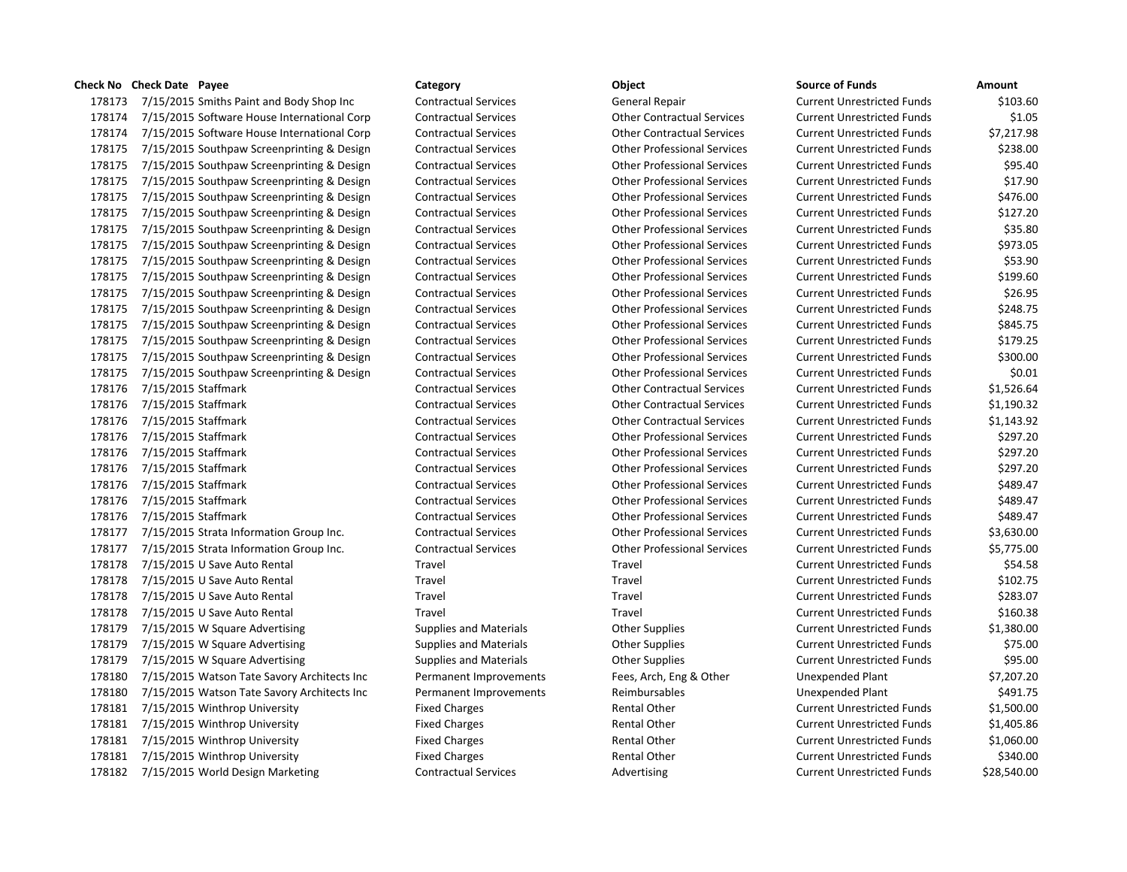## **Check No Check Date Payee Category Object Source of Funds Amount**

178173 7/15/2015 Smiths Paint and Body Shop Inc Contractual Services General Repair Current Current Current Cu 178174 7/15/2015 Software House International Corp Contractual Services Current Contractual Services Current Cu 178174 7/15/2015 Software House International Corp Contractual Services Current Contractual Services Current Co 178175 7/15/2015 Southpaw Screenprinting & Design Contractual Services Current Contractual Services Current Cu 178175 7/15/2015 Southpaw Screenprinting & Design Contractual Services Current Conter Professional Services Cu 178175 7/15/2015 Southpaw Screenprinting & Design Contractual Services Current Contractual Services Current Cu 178175 7/15/2015 Southpaw Screenprinting & Design Contractual Services Current Conter Professional Services Cu 178175 7/15/2015 Southpaw Screenprinting & Design Contractual Services Current Contractual Services Current Cu 178175 7/15/2015 Southpaw Screenprinting & Design Contractual Services Current Conter Professional Services Cu 178175 7/15/2015 Southpaw Screenprinting & Design Contractual Services Current Contractual Services Current Cu 178175 7/15/2015 Southpaw Screenprinting & Design Contractual Services Current Contractual Services Current Cu 178175 7/15/2015 Southpaw Screenprinting & Design Contractual Services Current Contractual Services Current Cu 178175 7/15/2015 Southpaw Screenprinting & Design Contractual Services Current Contractual Services Current Cu 178175 7/15/2015 Southpaw Screenprinting & Design Contractual Services Current Contractual Services Current Cu 178175 7/15/2015 Southpaw Screenprinting & Design Contractual Services Current Contractual Services Current Cu 178175 7/15/2015 Southpaw Screenprinting & Design Contractual Services Current Contractual Services Current Cu 178175 7/15/2015 Southpaw Screenprinting & Design Contractual Services Current Contractual Services Current Cu 178175 7/15/2015 Southpaw Screenprinting & Design Contractual Services Current Contractual Services Current Cu 178176 7/15/2015 Staffmark Contractual Services Contractual Services Current Unrestricted Funds \$1,526.646.64 178176 7/15/2015 Staffmark Contractual Services Contractual Services Current Current Unrestricted Funds \$1,190.32 178176 7/15/2015 Staffmark Contractual Services Contractual Services Current Unrestricted Funds \$1,151.92.92 178176 7/15/2015 Staffmark Contractual Services Contractual Services Current Current Other Professional Services 178176 7/15/2015 Staffmark Contractual Services Contractual Services Current Current Current Unrestricted Funds 178176 7/15/2015 Staffmark Contractual Services Contractual Services Current Current Current Unrestricted Funds 178176 7/15/2015 Staffmark Contractual Services Contractual Services Current Current Other Professional Services 178176 7/15/2015 Staffmark Contractual Services Contractual Services Current Other Professional Services Curre 178176 7/15/2015 Staffmark Contractual Services Contractual Services Current Current Current Unrestricted Fund 178177 7/15/2015 Strata Information Group Inc. Contractual Services Current Current Current Current Current Cu 178177 7/15/2015 Strata Information Group Inc. Contractual Services Current Contractual Services Current Current Cu 178178 7/15/2015 U Save Auto Rental Travel Travel Travel Travel Travel Travel Travel Cu 178178 7/15/2015 U Save Auto Rental Travel Travel Travel Travel Travel Travel Current Unrestricted Travel Curr 178178 7/15/2015 U Save Auto Rental Travel Travel Travel Travel Travel Travel Current Unrestricted Travel Curr 178178 7/15/2015 U Save Auto Rental Travel Travel Travel Travel Travel Travel Current Unrestricted Travel Curr 178179 7/15/2015 W Square Advertising Supplies and Materials Current Current Current Current Current Current O 178179 7/15/2015 W Square Advertising Supplies and Materials Current Current Current Current Current Current O 178179 7/15/2015 W Square Advertising Supplies and Materials Current Current Current Current Current Current Cu 178180 7/15/2015 Watson Tate Savory Architects Inc Permanent Improvements Fees, Arch, Eng & Other U 178180 7/15/2015 Watson Tate Savory Architects Inc Permanent Improvements Reimbursables Unexpended Plant & 491 178181 7/15/2015 Winthrop University Fixed Charges Rental Other Rental Other Current Current Current Current O 178181 7/15/2015 Winthrop University Fixed Charges Rental Other Rental Other Current Current Current Current O 178181 7/15/2015 Winthrop University Fixed Charges Rental Other Rental Other Current Current Current Current O 178181 7/15/2015 Winthrop University **Fixed Charges** Fixed Charges Rental Other Cu 178182 7/15/2015 World Design Marketing Contractual Services Advertising Current Current Current Current Current Cu

|  | ource of Funds |  |
|--|----------------|--|
|  |                |  |

| ource or runus            | Amount      |
|---------------------------|-------------|
| urrent Unrestricted Funds | \$103.60    |
| urrent Unrestricted Funds | \$1.05      |
| urrent Unrestricted Funds | \$7,217.98  |
| urrent Unrestricted Funds | \$238.00    |
| urrent Unrestricted Funds | \$95.40     |
| urrent Unrestricted Funds | \$17.90     |
| urrent Unrestricted Funds | \$476.00    |
| urrent Unrestricted Funds | \$127.20    |
| urrent Unrestricted Funds | \$35.80     |
| urrent Unrestricted Funds | \$973.05    |
| urrent Unrestricted Funds | \$53.90     |
| urrent Unrestricted Funds | \$199.60    |
| urrent Unrestricted Funds | \$26.95     |
| urrent Unrestricted Funds | \$248.75    |
| urrent Unrestricted Funds | \$845.75    |
| urrent Unrestricted Funds | \$179.25    |
| urrent Unrestricted Funds | \$300.00    |
| urrent Unrestricted Funds | \$0.01      |
| urrent Unrestricted Funds | \$1,526.64  |
| urrent Unrestricted Funds | \$1,190.32  |
| urrent Unrestricted Funds | \$1,143.92  |
| urrent Unrestricted Funds | \$297.20    |
| urrent Unrestricted Funds | \$297.20    |
| urrent Unrestricted Funds | \$297.20    |
| urrent Unrestricted Funds | \$489.47    |
| urrent Unrestricted Funds | \$489.47    |
| urrent Unrestricted Funds | \$489.47    |
| urrent Unrestricted Funds | \$3,630.00  |
| urrent Unrestricted Funds | \$5,775.00  |
| urrent Unrestricted Funds | \$54.58     |
| urrent Unrestricted Funds | \$102.75    |
| urrent Unrestricted Funds | \$283.07    |
| urrent Unrestricted Funds | \$160.38    |
| urrent Unrestricted Funds | \$1,380.00  |
| urrent Unrestricted Funds | \$75.00     |
| urrent Unrestricted Funds | \$95.00     |
| nexpended Plant           | \$7,207.20  |
| nexpended Plant           | \$491.75    |
| urrent Unrestricted Funds | \$1,500.00  |
| urrent Unrestricted Funds | \$1,405.86  |
| urrent Unrestricted Funds | \$1,060.00  |
| urrent Unrestricted Funds | \$340.00    |
| urrent Unrestricted Funds | \$28,540.00 |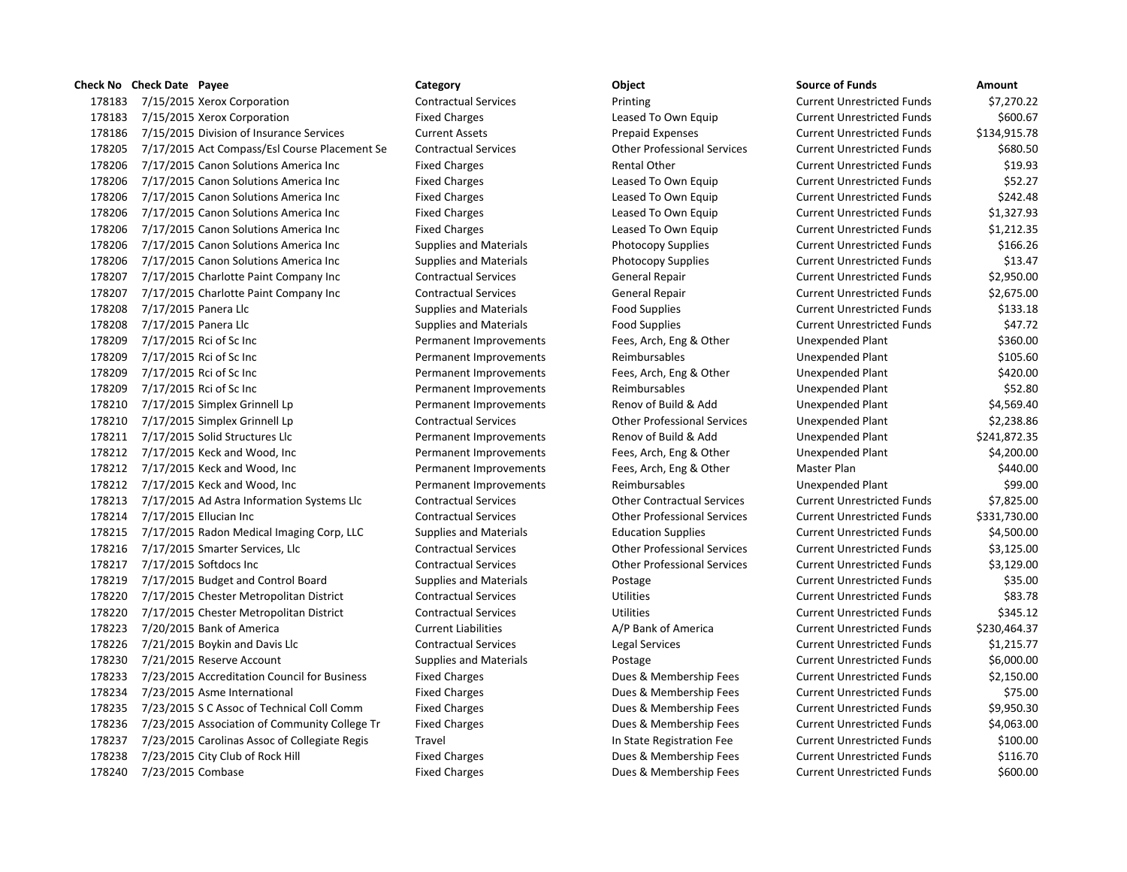|        | Check No Check Date Payee                     | Category                      | Object                             | <b>Source of Funds</b>            | Amount       |
|--------|-----------------------------------------------|-------------------------------|------------------------------------|-----------------------------------|--------------|
| 178183 | 7/15/2015 Xerox Corporation                   | <b>Contractual Services</b>   | Printing                           | <b>Current Unrestricted Funds</b> | \$7,270.22   |
| 178183 | 7/15/2015 Xerox Corporation                   | <b>Fixed Charges</b>          | Leased To Own Equip                | <b>Current Unrestricted Funds</b> | \$600.67     |
| 178186 | 7/15/2015 Division of Insurance Services      | <b>Current Assets</b>         | <b>Prepaid Expenses</b>            | <b>Current Unrestricted Funds</b> | \$134,915.78 |
| 178205 | 7/17/2015 Act Compass/Esl Course Placement Se | <b>Contractual Services</b>   | <b>Other Professional Services</b> | <b>Current Unrestricted Funds</b> | \$680.50     |
| 178206 | 7/17/2015 Canon Solutions America Inc         | <b>Fixed Charges</b>          | Rental Other                       | <b>Current Unrestricted Funds</b> | \$19.93      |
| 178206 | 7/17/2015 Canon Solutions America Inc         | <b>Fixed Charges</b>          | Leased To Own Equip                | <b>Current Unrestricted Funds</b> | \$52.27      |
| 178206 | 7/17/2015 Canon Solutions America Inc         | <b>Fixed Charges</b>          | Leased To Own Equip                | <b>Current Unrestricted Funds</b> | \$242.48     |
| 178206 | 7/17/2015 Canon Solutions America Inc         | <b>Fixed Charges</b>          | Leased To Own Equip                | <b>Current Unrestricted Funds</b> | \$1,327.93   |
| 178206 | 7/17/2015 Canon Solutions America Inc         | <b>Fixed Charges</b>          | Leased To Own Equip                | <b>Current Unrestricted Funds</b> | \$1,212.35   |
| 178206 | 7/17/2015 Canon Solutions America Inc         | <b>Supplies and Materials</b> | <b>Photocopy Supplies</b>          | <b>Current Unrestricted Funds</b> | \$166.26     |
| 178206 | 7/17/2015 Canon Solutions America Inc         | <b>Supplies and Materials</b> | Photocopy Supplies                 | <b>Current Unrestricted Funds</b> | \$13.47      |
| 178207 | 7/17/2015 Charlotte Paint Company Inc         | <b>Contractual Services</b>   | General Repair                     | <b>Current Unrestricted Funds</b> | \$2,950.00   |
| 178207 | 7/17/2015 Charlotte Paint Company Inc         | <b>Contractual Services</b>   | General Repair                     | <b>Current Unrestricted Funds</b> | \$2,675.00   |
| 178208 | 7/17/2015 Panera Llc                          | <b>Supplies and Materials</b> | <b>Food Supplies</b>               | <b>Current Unrestricted Funds</b> | \$133.18     |
| 178208 | 7/17/2015 Panera Llc                          | <b>Supplies and Materials</b> | <b>Food Supplies</b>               | <b>Current Unrestricted Funds</b> | \$47.72      |
| 178209 | 7/17/2015 Rci of Sc Inc                       | Permanent Improvements        | Fees, Arch, Eng & Other            | Unexpended Plant                  | \$360.00     |
| 178209 | 7/17/2015 Rci of Sc Inc                       | Permanent Improvements        | Reimbursables                      | Unexpended Plant                  | \$105.60     |
| 178209 | 7/17/2015 Rci of Sc Inc                       | Permanent Improvements        | Fees, Arch, Eng & Other            | Unexpended Plant                  | \$420.00     |
| 178209 | 7/17/2015 Rci of Sc Inc                       | Permanent Improvements        | Reimbursables                      | Unexpended Plant                  | \$52.80      |
| 178210 | 7/17/2015 Simplex Grinnell Lp                 | Permanent Improvements        | Renov of Build & Add               | Unexpended Plant                  | \$4,569.40   |
| 178210 | 7/17/2015 Simplex Grinnell Lp                 | <b>Contractual Services</b>   | <b>Other Professional Services</b> | Unexpended Plant                  | \$2,238.86   |
| 178211 | 7/17/2015 Solid Structures Llc                | Permanent Improvements        | Renov of Build & Add               | Unexpended Plant                  | \$241,872.35 |
| 178212 | 7/17/2015 Keck and Wood, Inc                  | Permanent Improvements        | Fees, Arch, Eng & Other            | Unexpended Plant                  | \$4,200.00   |
| 178212 | 7/17/2015 Keck and Wood, Inc                  | Permanent Improvements        | Fees, Arch, Eng & Other            | Master Plan                       | \$440.00     |
| 178212 | 7/17/2015 Keck and Wood, Inc                  | Permanent Improvements        | Reimbursables                      | Unexpended Plant                  | \$99.00      |
| 178213 | 7/17/2015 Ad Astra Information Systems Llc    | <b>Contractual Services</b>   | <b>Other Contractual Services</b>  | <b>Current Unrestricted Funds</b> | \$7,825.00   |
| 178214 | 7/17/2015 Ellucian Inc                        | <b>Contractual Services</b>   | <b>Other Professional Services</b> | <b>Current Unrestricted Funds</b> | \$331,730.00 |
| 178215 | 7/17/2015 Radon Medical Imaging Corp, LLC     | <b>Supplies and Materials</b> | <b>Education Supplies</b>          | <b>Current Unrestricted Funds</b> | \$4,500.00   |
| 178216 | 7/17/2015 Smarter Services, Llc               | <b>Contractual Services</b>   | <b>Other Professional Services</b> | <b>Current Unrestricted Funds</b> | \$3,125.00   |
| 178217 | 7/17/2015 Softdocs Inc                        | <b>Contractual Services</b>   | <b>Other Professional Services</b> | <b>Current Unrestricted Funds</b> | \$3,129.00   |
| 178219 | 7/17/2015 Budget and Control Board            | <b>Supplies and Materials</b> | Postage                            | <b>Current Unrestricted Funds</b> | \$35.00      |
| 178220 | 7/17/2015 Chester Metropolitan District       | <b>Contractual Services</b>   | <b>Utilities</b>                   | <b>Current Unrestricted Funds</b> | \$83.78      |
| 178220 | 7/17/2015 Chester Metropolitan District       | <b>Contractual Services</b>   | Utilities                          | <b>Current Unrestricted Funds</b> | \$345.12     |
| 178223 | 7/20/2015 Bank of America                     | <b>Current Liabilities</b>    | A/P Bank of America                | <b>Current Unrestricted Funds</b> | \$230,464.37 |
| 178226 | 7/21/2015 Boykin and Davis Llc                | <b>Contractual Services</b>   | Legal Services                     | <b>Current Unrestricted Funds</b> | \$1,215.77   |
| 178230 | 7/21/2015 Reserve Account                     | <b>Supplies and Materials</b> | Postage                            | <b>Current Unrestricted Funds</b> | \$6,000.00   |
| 178233 | 7/23/2015 Accreditation Council for Business  | <b>Fixed Charges</b>          | Dues & Membership Fees             | <b>Current Unrestricted Funds</b> | \$2,150.00   |
| 178234 | 7/23/2015 Asme International                  | <b>Fixed Charges</b>          | Dues & Membership Fees             | <b>Current Unrestricted Funds</b> | \$75.00      |
| 178235 | 7/23/2015 S C Assoc of Technical Coll Comm    | <b>Fixed Charges</b>          | Dues & Membership Fees             | <b>Current Unrestricted Funds</b> | \$9,950.30   |
| 178236 | 7/23/2015 Association of Community College Tr | <b>Fixed Charges</b>          | Dues & Membership Fees             | <b>Current Unrestricted Funds</b> | \$4,063.00   |
| 178237 | 7/23/2015 Carolinas Assoc of Collegiate Regis | Travel                        | In State Registration Fee          | <b>Current Unrestricted Funds</b> | \$100.00     |
| 178238 | 7/23/2015 City Club of Rock Hill              | <b>Fixed Charges</b>          | Dues & Membership Fees             | <b>Current Unrestricted Funds</b> | \$116.70     |
|        | 178240 7/23/2015 Combase                      | <b>Fixed Charges</b>          | Dues & Membership Fees             | <b>Current Unrestricted Funds</b> | \$600.00     |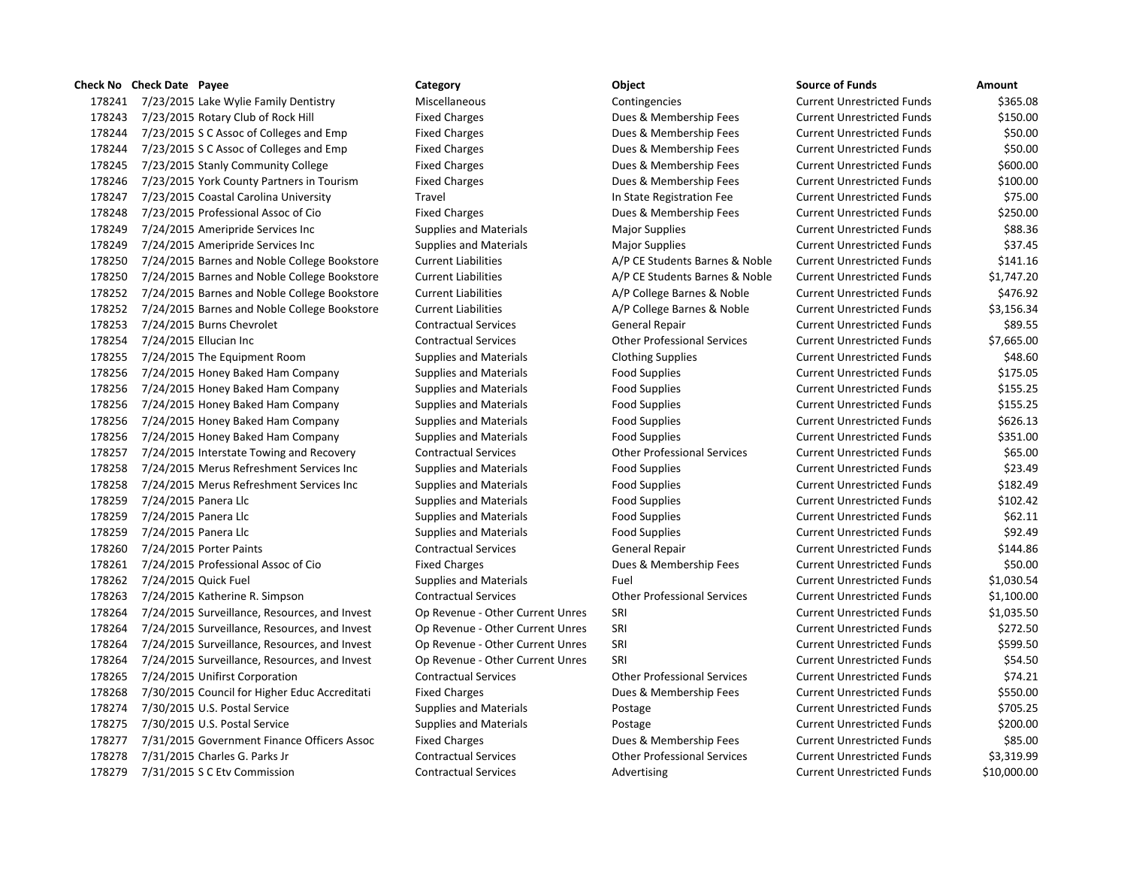178241 7/23/2015 Lake Wylie Family Dentistry Miscellaneous Contingencies Contingencies Current Unrestricted Funds \$365.08 7/23/2015 Rotary Club of Rock Hill Fixed Charges Dues & Membership Fees Current Unrestricted Funds \$150.00 178244 7/23/2015 S C Assoc of Colleges and Emp Fixed Charges **Burges Current Unrestricted Funds** \$50.00 178244 7/23/2015 S C Assoc of Colleges and Emp Fixed Charges **Burges Current Unrestricted Funds** \$50.00 7/23/2015 Stanly Community College Fixed Charges Dues & Membership Fees Current Unrestricted Funds \$600.00 7/23/2015 York County Partners in Tourism Fixed Charges Dues & Membership Fees Current Unrestricted Funds \$100.00 7/23/2015 Coastal Carolina University Travel In State Registration Fee Current Unrestricted Funds \$75.00 7/23/2015 Professional Assoc of Cio Fixed Charges Dues & Membership Fees Current Unrestricted Funds \$250.00 7/24/2015 Ameripride Services Inc Supplies and Materials Major Supplies Current Unrestricted Funds \$88.36 7/24/2015 Ameripride Services Inc Supplies and Materials Major Supplies Current Unrestricted Funds \$37.45 7/24/2015 Barnes and Noble College Bookstore Current Liabilities A/P CE Students Barnes & Noble Current Unrestricted Funds \$141.16 7/24/2015 Barnes and Noble College Bookstore Current Liabilities A/P CE Students Barnes & Noble Current Unrestricted Funds \$1,747.20 7/24/2015 Barnes and Noble College Bookstore Current Liabilities A/P College Barnes & Noble Current Unrestricted Funds \$476.92 7/24/2015 Barnes and Noble College Bookstore Current Liabilities A/P College Barnes & Noble Current Unrestricted Funds \$3,156.34 7/24/2015 Burns Chevrolet Contractual Services General Repair Current Unrestricted Funds \$89.55 7/24/2015 Ellucian Inc Contractual Services Other Professional Services Current Unrestricted Funds \$7,665.00 7/24/2015 The Equipment Room Supplies and Materials Clothing Supplies Current Unrestricted Funds \$48.60 7/24/2015 Honey Baked Ham Company Supplies and Materials Food Supplies Current Unrestricted Funds \$175.05 7/24/2015 Honey Baked Ham Company Supplies and Materials Food Supplies Current Unrestricted Funds \$155.25 7/24/2015 Honey Baked Ham Company Supplies and Materials Food Supplies Current Unrestricted Funds \$155.25 178256 7/24/2015 Honey Baked Ham Company Supplies and Materials Food Supplies Current Unrestricted Funds \$626.13 7/24/2015 Honey Baked Ham Company Supplies and Materials Food Supplies Current Unrestricted Funds \$351.00 7/24/2015 Interstate Towing and Recovery Contractual Services Other Professional Services Current Unrestricted Funds \$65.00 7/24/2015 Merus Refreshment Services Inc Supplies and Materials Food Supplies Current Unrestricted Funds \$23.49 7/24/2015 Merus Refreshment Services Inc Supplies and Materials Food Supplies Current Unrestricted Funds \$182.49 7/24/2015 Panera Llc Supplies and Materials Food Supplies Current Unrestricted Funds \$102.42 178259 7/24/2015 Panera Llc Supplies and Materials Food Supplies Food Supplies Current Unrestricted Funds \$62.11 178259 7/24/2015 Panera Llc Supplies and Materials Food Supplies Food Supplies Current Unrestricted Funds \$92.49 7/24/2015 Porter Paints Contractual Services General Repair Current Unrestricted Funds \$144.86 7/24/2015 Professional Assoc of Cio Fixed Charges Dues & Membership Fees Current Unrestricted Funds \$50.00 7/24/2015 Quick Fuel Supplies and Materials Fuel Current Unrestricted Funds \$1,030.54 7/24/2015 Katherine R. Simpson Contractual Services Other Professional Services Current Unrestricted Funds \$1,100.00 7/24/2015 Surveillance, Resources, and Invest Op Revenue ‐ Other Current Unres SRI Current Unrestricted Funds \$1,035.50 178264 7/24/2015 Surveillance, Resources, and Invest Op Revenue - Other Current Unres SRI Current Unrestricted Funds \$272.50 7/24/2015 Surveillance, Resources, and Invest Op Revenue ‐ Other Current Unres SRI Current Unrestricted Funds \$599.50 178264 7/24/2015 Surveillance, Resources, and Invest Op Revenue - Other Current Unres SRI Current Unrestricted Funds \$54.50 7/24/2015 Unifirst Corporation Contractual Services Other Professional Services Current Unrestricted Funds \$74.21 7/30/2015 Council for Higher Educ Accreditati Fixed Charges Dues & Membership Fees Current Unrestricted Funds \$550.00 178274 7/30/2015 U.S. Postal Service Supplies and Materials Postage Provides Current Unrestricted Funds \$705.25 7/30/2015 U.S. Postal Service Supplies and Materials Postage Current Unrestricted Funds \$200.00 7/31/2015 Government Finance Officers Assoc Fixed Charges Dues & Membership Fees Current Unrestricted Funds \$85.00 7/31/2015 Charles G. Parks Jr Contractual Services Other Professional Services Current Unrestricted Funds \$3,319.99 178279 7/31/2015 S C Etv Commission Contractual Services Advertising Current Unrestricted Funds \$10,000.00

**Check No Check Date Payee Category Object Source of Funds Amount**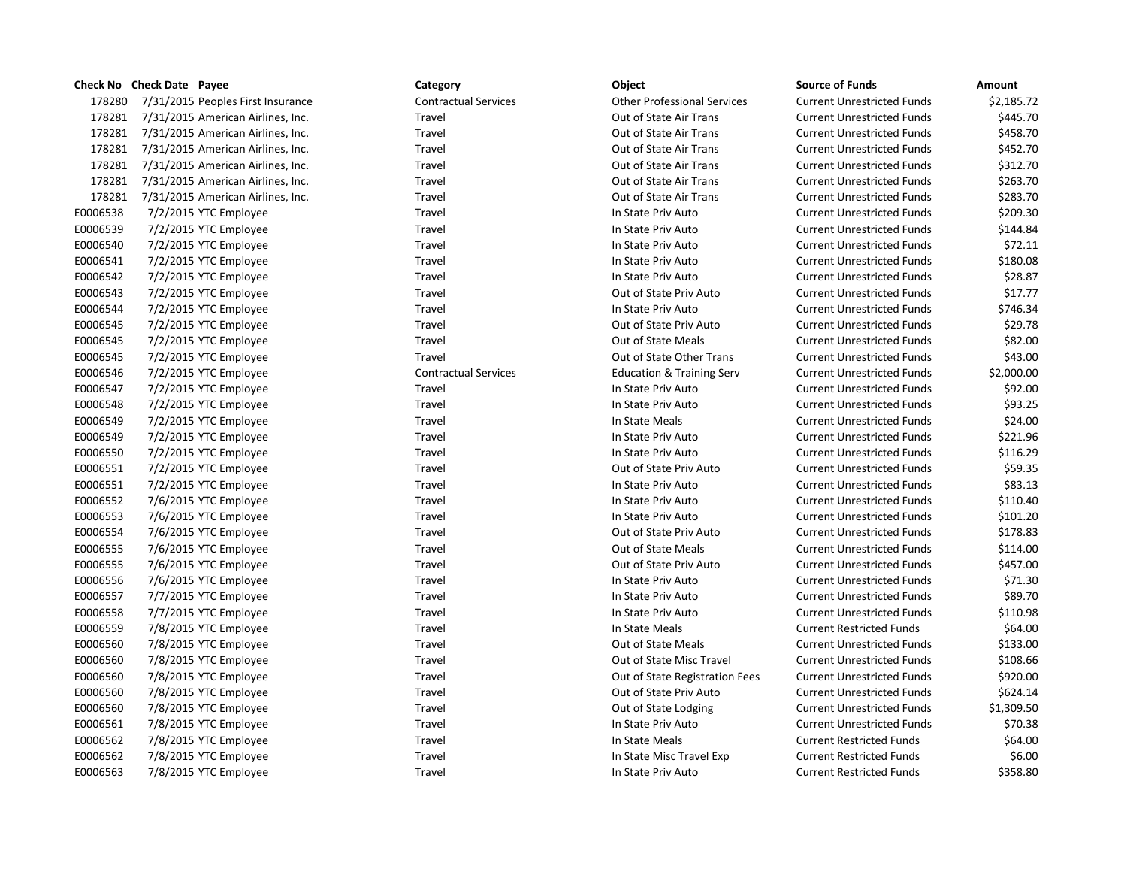|          | Check No Check Date Payee                | Category                    | Object                               | <b>Source of Funds</b>            | Amount     |
|----------|------------------------------------------|-----------------------------|--------------------------------------|-----------------------------------|------------|
| 178280   | 7/31/2015 Peoples First Insurance        | <b>Contractual Services</b> | <b>Other Professional Services</b>   | <b>Current Unrestricted Funds</b> | \$2,185.72 |
|          | 178281 7/31/2015 American Airlines, Inc. | Travel                      | Out of State Air Trans               | <b>Current Unrestricted Funds</b> | \$445.70   |
|          | 178281 7/31/2015 American Airlines, Inc. | Travel                      | Out of State Air Trans               | <b>Current Unrestricted Funds</b> | \$458.70   |
|          | 178281 7/31/2015 American Airlines, Inc. | Travel                      | Out of State Air Trans               | <b>Current Unrestricted Funds</b> | \$452.70   |
|          | 178281 7/31/2015 American Airlines, Inc. | Travel                      | Out of State Air Trans               | <b>Current Unrestricted Funds</b> | \$312.70   |
|          | 178281 7/31/2015 American Airlines, Inc. | Travel                      | Out of State Air Trans               | <b>Current Unrestricted Funds</b> | \$263.70   |
| 178281   | 7/31/2015 American Airlines, Inc.        | Travel                      | Out of State Air Trans               | <b>Current Unrestricted Funds</b> | \$283.70   |
| E0006538 | 7/2/2015 YTC Employee                    | Travel                      | In State Priv Auto                   | <b>Current Unrestricted Funds</b> | \$209.30   |
| E0006539 | 7/2/2015 YTC Employee                    | Travel                      | In State Priv Auto                   | <b>Current Unrestricted Funds</b> | \$144.84   |
| E0006540 | 7/2/2015 YTC Employee                    | Travel                      | In State Priv Auto                   | <b>Current Unrestricted Funds</b> | \$72.11    |
| E0006541 | 7/2/2015 YTC Employee                    | Travel                      | In State Priv Auto                   | <b>Current Unrestricted Funds</b> | \$180.08   |
| E0006542 | 7/2/2015 YTC Employee                    | Travel                      | In State Priv Auto                   | <b>Current Unrestricted Funds</b> | \$28.87    |
| E0006543 | 7/2/2015 YTC Employee                    | Travel                      | Out of State Priv Auto               | <b>Current Unrestricted Funds</b> | \$17.77    |
| E0006544 | 7/2/2015 YTC Employee                    | Travel                      | In State Priv Auto                   | <b>Current Unrestricted Funds</b> | \$746.34   |
| E0006545 | 7/2/2015 YTC Employee                    | Travel                      | Out of State Priv Auto               | <b>Current Unrestricted Funds</b> | \$29.78    |
| E0006545 | 7/2/2015 YTC Employee                    | Travel                      | Out of State Meals                   | <b>Current Unrestricted Funds</b> | \$82.00    |
| E0006545 | 7/2/2015 YTC Employee                    | Travel                      | Out of State Other Trans             | <b>Current Unrestricted Funds</b> | \$43.00    |
| E0006546 | 7/2/2015 YTC Employee                    | <b>Contractual Services</b> | <b>Education &amp; Training Serv</b> | <b>Current Unrestricted Funds</b> | \$2,000.00 |
| E0006547 | 7/2/2015 YTC Employee                    | Travel                      | In State Priv Auto                   | <b>Current Unrestricted Funds</b> | \$92.00    |
| E0006548 | 7/2/2015 YTC Employee                    | Travel                      | In State Priv Auto                   | <b>Current Unrestricted Funds</b> | \$93.25    |
| E0006549 | 7/2/2015 YTC Employee                    | Travel                      | In State Meals                       | <b>Current Unrestricted Funds</b> | \$24.00    |
| E0006549 | 7/2/2015 YTC Employee                    | Travel                      | In State Priv Auto                   | <b>Current Unrestricted Funds</b> | \$221.96   |
| E0006550 | 7/2/2015 YTC Employee                    | Travel                      | In State Priv Auto                   | <b>Current Unrestricted Funds</b> | \$116.29   |
| E0006551 | 7/2/2015 YTC Employee                    | Travel                      | Out of State Priv Auto               | <b>Current Unrestricted Funds</b> | \$59.35    |
| E0006551 | 7/2/2015 YTC Employee                    | Travel                      | In State Priv Auto                   | <b>Current Unrestricted Funds</b> | \$83.13    |
| E0006552 | 7/6/2015 YTC Employee                    | Travel                      | In State Priv Auto                   | <b>Current Unrestricted Funds</b> | \$110.40   |
| E0006553 | 7/6/2015 YTC Employee                    | Travel                      | In State Priv Auto                   | <b>Current Unrestricted Funds</b> | \$101.20   |
| E0006554 | 7/6/2015 YTC Employee                    | Travel                      | Out of State Priv Auto               | <b>Current Unrestricted Funds</b> | \$178.83   |
| E0006555 | 7/6/2015 YTC Employee                    | Travel                      | Out of State Meals                   | <b>Current Unrestricted Funds</b> | \$114.00   |
| E0006555 | 7/6/2015 YTC Employee                    | Travel                      | Out of State Priv Auto               | <b>Current Unrestricted Funds</b> | \$457.00   |
| E0006556 | 7/6/2015 YTC Employee                    | Travel                      | In State Priv Auto                   | <b>Current Unrestricted Funds</b> | \$71.30    |
| E0006557 | 7/7/2015 YTC Employee                    | Travel                      | In State Priv Auto                   | <b>Current Unrestricted Funds</b> | \$89.70    |
| E0006558 | 7/7/2015 YTC Employee                    | Travel                      | In State Priv Auto                   | <b>Current Unrestricted Funds</b> | \$110.98   |
| E0006559 | 7/8/2015 YTC Employee                    | Travel                      | In State Meals                       | <b>Current Restricted Funds</b>   | \$64.00    |
| E0006560 | 7/8/2015 YTC Employee                    | Travel                      | Out of State Meals                   | <b>Current Unrestricted Funds</b> | \$133.00   |
| E0006560 | 7/8/2015 YTC Employee                    | Travel                      | Out of State Misc Travel             | <b>Current Unrestricted Funds</b> | \$108.66   |
| E0006560 | 7/8/2015 YTC Employee                    | Travel                      | Out of State Registration Fees       | <b>Current Unrestricted Funds</b> | \$920.00   |
| E0006560 | 7/8/2015 YTC Employee                    | Travel                      | Out of State Priv Auto               | <b>Current Unrestricted Funds</b> | \$624.14   |
| E0006560 | 7/8/2015 YTC Employee                    | Travel                      | Out of State Lodging                 | <b>Current Unrestricted Funds</b> | \$1,309.50 |
| E0006561 | 7/8/2015 YTC Employee                    | Travel                      | In State Priv Auto                   | <b>Current Unrestricted Funds</b> | \$70.38    |
| E0006562 | 7/8/2015 YTC Employee                    | Travel                      | In State Meals                       | <b>Current Restricted Funds</b>   | \$64.00    |
| E0006562 | 7/8/2015 YTC Employee                    | Travel                      | In State Misc Travel Exp             | <b>Current Restricted Funds</b>   | \$6.00     |
| E0006563 | 7/8/2015 YTC Employee                    | Travel                      | In State Priv Auto                   | <b>Current Restricted Funds</b>   | \$358.80   |

# nce 1782 Contractual Services Contractual Services Current Unrestricted Funds & 2,185.723.723.723.72 178281 178281 778281 178281 American Airlines, Inc. No. 189281 2014 01t of State Air Trans 178281 178281 778281 178281 American Airlines, Inc. No. 2016 Airlines, Inc. 2016 Airlines, Inc. 2016 178281 178281 778281 178281 American Airlines, Inc. Cut of State Air Trans 178281 178281 178281 178281 American Airlines, Inc. No. 189281 2014 01t of State Air Trans 178281 178281 7.12028 American Airlines, Inc. No. 178281 2016 Autor Cut of State Air Trans Current Units & 263 178281 178281 178281 178281 American Airlines, Inc. No. 1894. Inc. No. 1894. 1895 Travel **Travel CULT EMPLOYEE TRAVEL** Out of State Other Trans Travel Travel **Travel** Travel Cut of State Priv Auto Travel **Travel Travel Current Current Current Current Current Current United Travel Current United Funds \$108.666.66660.66660.66660.66660.66660.666660.666660.666660.666660.666660.666660.666660.666660.666660.666660.66660.66** Travel Travel **Travel Current Current Current Current Current Current Current Current Current Current Current Current Current Current Current Current Current Current Current Current Current Current Current Current Current** Travel **Travel** Travel **Travel Current Current Current Current Current United Travel Auto Current United Funds \$624.14** Travel Travel **EXP In State Misc Travel Exp**

|          | Check No Check Date Payee         | Category                    | Object                               | <b>Source of Funds</b>            | Amount     |
|----------|-----------------------------------|-----------------------------|--------------------------------------|-----------------------------------|------------|
| 178280   | 7/31/2015 Peoples First Insurance | <b>Contractual Services</b> | <b>Other Professional Services</b>   | <b>Current Unrestricted Funds</b> | \$2,185.72 |
| 178281   | 7/31/2015 American Airlines, Inc. | Travel                      | Out of State Air Trans               | <b>Current Unrestricted Funds</b> | \$445.70   |
| 178281   | 7/31/2015 American Airlines, Inc. | Travel                      | Out of State Air Trans               | <b>Current Unrestricted Funds</b> | \$458.70   |
| 178281   | 7/31/2015 American Airlines, Inc. | Travel                      | Out of State Air Trans               | <b>Current Unrestricted Funds</b> | \$452.70   |
| 178281   | 7/31/2015 American Airlines, Inc. | Travel                      | Out of State Air Trans               | <b>Current Unrestricted Funds</b> | \$312.70   |
| 178281   | 7/31/2015 American Airlines, Inc. | Travel                      | Out of State Air Trans               | <b>Current Unrestricted Funds</b> | \$263.70   |
| 178281   | 7/31/2015 American Airlines, Inc. | Travel                      | Out of State Air Trans               | <b>Current Unrestricted Funds</b> | \$283.70   |
| E0006538 | 7/2/2015 YTC Employee             | Travel                      | In State Priv Auto                   | <b>Current Unrestricted Funds</b> | \$209.30   |
| E0006539 | 7/2/2015 YTC Employee             | Travel                      | In State Priv Auto                   | <b>Current Unrestricted Funds</b> | \$144.84   |
| E0006540 | 7/2/2015 YTC Employee             | Travel                      | In State Priv Auto                   | <b>Current Unrestricted Funds</b> | \$72.11    |
| E0006541 | 7/2/2015 YTC Employee             | Travel                      | In State Priv Auto                   | <b>Current Unrestricted Funds</b> | \$180.08   |
| E0006542 | 7/2/2015 YTC Employee             | Travel                      | In State Priv Auto                   | <b>Current Unrestricted Funds</b> | \$28.87    |
| E0006543 | 7/2/2015 YTC Employee             | Travel                      | Out of State Priv Auto               | <b>Current Unrestricted Funds</b> | \$17.77    |
| E0006544 | 7/2/2015 YTC Employee             | Travel                      | In State Priv Auto                   | <b>Current Unrestricted Funds</b> | \$746.34   |
| E0006545 | 7/2/2015 YTC Employee             | Travel                      | Out of State Priv Auto               | <b>Current Unrestricted Funds</b> | \$29.78    |
| E0006545 | 7/2/2015 YTC Employee             | Travel                      | Out of State Meals                   | <b>Current Unrestricted Funds</b> | \$82.00    |
| E0006545 | 7/2/2015 YTC Employee             | Travel                      | Out of State Other Trans             | <b>Current Unrestricted Funds</b> | \$43.00    |
| E0006546 | 7/2/2015 YTC Employee             | <b>Contractual Services</b> | <b>Education &amp; Training Serv</b> | <b>Current Unrestricted Funds</b> | \$2,000.00 |
| E0006547 | 7/2/2015 YTC Employee             | Travel                      | In State Priv Auto                   | <b>Current Unrestricted Funds</b> | \$92.00    |
| E0006548 | 7/2/2015 YTC Employee             | Travel                      | In State Priv Auto                   | <b>Current Unrestricted Funds</b> | \$93.25    |
| E0006549 | 7/2/2015 YTC Employee             | Travel                      | In State Meals                       | <b>Current Unrestricted Funds</b> | \$24.00    |
| E0006549 | 7/2/2015 YTC Employee             | Travel                      | In State Priv Auto                   | <b>Current Unrestricted Funds</b> | \$221.96   |
| E0006550 | 7/2/2015 YTC Employee             | Travel                      | In State Priv Auto                   | <b>Current Unrestricted Funds</b> | \$116.29   |
| E0006551 | 7/2/2015 YTC Employee             | Travel                      | Out of State Priv Auto               | <b>Current Unrestricted Funds</b> | \$59.35    |
| E0006551 | 7/2/2015 YTC Employee             | Travel                      | In State Priv Auto                   | <b>Current Unrestricted Funds</b> | \$83.13    |
| E0006552 | 7/6/2015 YTC Employee             | Travel                      | In State Priv Auto                   | <b>Current Unrestricted Funds</b> | \$110.40   |
| E0006553 | 7/6/2015 YTC Employee             | Travel                      | In State Priv Auto                   | <b>Current Unrestricted Funds</b> | \$101.20   |
| E0006554 | 7/6/2015 YTC Employee             | Travel                      | Out of State Priv Auto               | <b>Current Unrestricted Funds</b> | \$178.83   |
| E0006555 | 7/6/2015 YTC Employee             | Travel                      | Out of State Meals                   | <b>Current Unrestricted Funds</b> | \$114.00   |
| E0006555 | 7/6/2015 YTC Employee             | Travel                      | Out of State Priv Auto               | <b>Current Unrestricted Funds</b> | \$457.00   |
| E0006556 | 7/6/2015 YTC Employee             | Travel                      | In State Priv Auto                   | <b>Current Unrestricted Funds</b> | \$71.30    |
| E0006557 | 7/7/2015 YTC Employee             | Travel                      | In State Priv Auto                   | <b>Current Unrestricted Funds</b> | \$89.70    |
| E0006558 | 7/7/2015 YTC Employee             | Travel                      | In State Priv Auto                   | <b>Current Unrestricted Funds</b> | \$110.98   |
| E0006559 | 7/8/2015 YTC Employee             | Travel                      | In State Meals                       | <b>Current Restricted Funds</b>   | \$64.00    |
| E0006560 | 7/8/2015 YTC Employee             | Travel                      | Out of State Meals                   | <b>Current Unrestricted Funds</b> | \$133.00   |
| E0006560 | 7/8/2015 YTC Employee             | Travel                      | Out of State Misc Travel             | <b>Current Unrestricted Funds</b> | \$108.66   |
| E0006560 | 7/8/2015 YTC Employee             | Travel                      | Out of State Registration Fees       | <b>Current Unrestricted Funds</b> | \$920.00   |
| E0006560 | 7/8/2015 YTC Employee             | Travel                      | Out of State Priv Auto               | <b>Current Unrestricted Funds</b> | \$624.14   |
| E0006560 | 7/8/2015 YTC Employee             | Travel                      | Out of State Lodging                 | <b>Current Unrestricted Funds</b> | \$1,309.50 |
| E0006561 | 7/8/2015 YTC Employee             | Travel                      | In State Priv Auto                   | <b>Current Unrestricted Funds</b> | \$70.38    |
| E0006562 | 7/8/2015 YTC Employee             | Travel                      | In State Meals                       | <b>Current Restricted Funds</b>   | \$64.00    |
| E0006562 | 7/8/2015 YTC Employee             | Travel                      | In State Misc Travel Exp             | <b>Current Restricted Funds</b>   | \$6.00     |
| F0006563 | 7/8/2015 YTC Employee             | Travel                      | In State Priv Auto                   | <b>Current Restricted Funds</b>   | \$358.80   |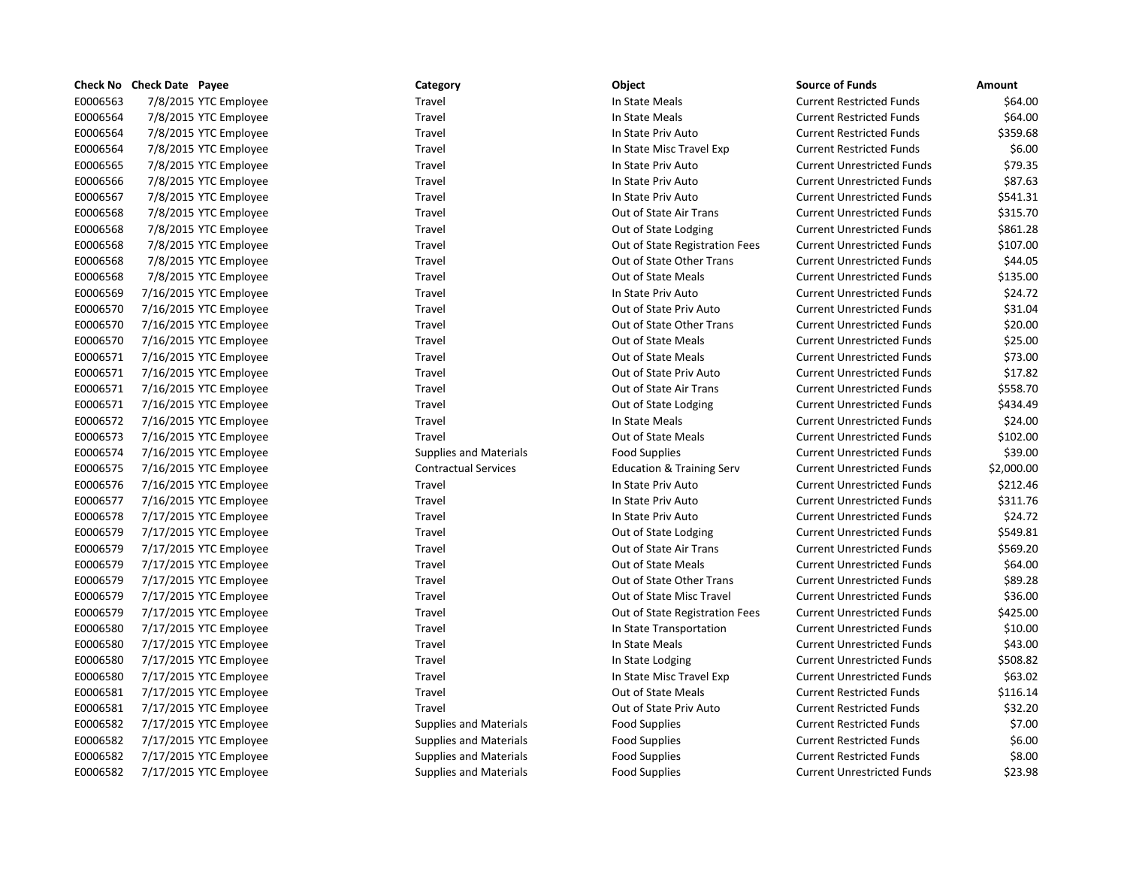|          | Check No Check Date Payee | Category                      | Object                               | <b>Source of Funds</b>            | Amount     |
|----------|---------------------------|-------------------------------|--------------------------------------|-----------------------------------|------------|
| E0006563 | 7/8/2015 YTC Employee     | Travel                        | In State Meals                       | <b>Current Restricted Funds</b>   | \$64.00    |
| E0006564 | 7/8/2015 YTC Employee     | Travel                        | In State Meals                       | <b>Current Restricted Funds</b>   | \$64.00    |
| E0006564 | 7/8/2015 YTC Employee     | Travel                        | In State Priv Auto                   | <b>Current Restricted Funds</b>   | \$359.68   |
| E0006564 | 7/8/2015 YTC Employee     | Travel                        | In State Misc Travel Exp             | <b>Current Restricted Funds</b>   | \$6.00     |
| E0006565 | 7/8/2015 YTC Employee     | Travel                        | In State Priv Auto                   | <b>Current Unrestricted Funds</b> | \$79.35    |
| E0006566 | 7/8/2015 YTC Employee     | Travel                        | In State Priv Auto                   | <b>Current Unrestricted Funds</b> | \$87.63    |
| E0006567 | 7/8/2015 YTC Employee     | Travel                        | In State Priv Auto                   | <b>Current Unrestricted Funds</b> | \$541.31   |
| E0006568 | 7/8/2015 YTC Employee     | Travel                        | Out of State Air Trans               | <b>Current Unrestricted Funds</b> | \$315.70   |
| E0006568 | 7/8/2015 YTC Employee     | Travel                        | Out of State Lodging                 | <b>Current Unrestricted Funds</b> | \$861.28   |
| E0006568 | 7/8/2015 YTC Employee     | Travel                        | Out of State Registration Fees       | <b>Current Unrestricted Funds</b> | \$107.00   |
| E0006568 | 7/8/2015 YTC Employee     | Travel                        | Out of State Other Trans             | <b>Current Unrestricted Funds</b> | \$44.05    |
| E0006568 | 7/8/2015 YTC Employee     | Travel                        | Out of State Meals                   | <b>Current Unrestricted Funds</b> | \$135.00   |
| E0006569 | 7/16/2015 YTC Employee    | Travel                        | In State Priv Auto                   | <b>Current Unrestricted Funds</b> | \$24.72    |
| E0006570 | 7/16/2015 YTC Employee    | Travel                        | Out of State Priv Auto               | <b>Current Unrestricted Funds</b> | \$31.04    |
| E0006570 | 7/16/2015 YTC Employee    | Travel                        | Out of State Other Trans             | <b>Current Unrestricted Funds</b> | \$20.00    |
| E0006570 | 7/16/2015 YTC Employee    | Travel                        | Out of State Meals                   | <b>Current Unrestricted Funds</b> | \$25.00    |
| E0006571 | 7/16/2015 YTC Employee    | Travel                        | <b>Out of State Meals</b>            | <b>Current Unrestricted Funds</b> | \$73.00    |
| E0006571 | 7/16/2015 YTC Employee    | Travel                        | Out of State Priv Auto               | <b>Current Unrestricted Funds</b> | \$17.82    |
| E0006571 | 7/16/2015 YTC Employee    | Travel                        | Out of State Air Trans               | <b>Current Unrestricted Funds</b> | \$558.70   |
| E0006571 | 7/16/2015 YTC Employee    | Travel                        | Out of State Lodging                 | <b>Current Unrestricted Funds</b> | \$434.49   |
| E0006572 | 7/16/2015 YTC Employee    | Travel                        | In State Meals                       | <b>Current Unrestricted Funds</b> | \$24.00    |
| E0006573 | 7/16/2015 YTC Employee    | Travel                        | Out of State Meals                   | <b>Current Unrestricted Funds</b> | \$102.00   |
| E0006574 | 7/16/2015 YTC Employee    | <b>Supplies and Materials</b> | <b>Food Supplies</b>                 | <b>Current Unrestricted Funds</b> | \$39.00    |
| E0006575 | 7/16/2015 YTC Employee    | <b>Contractual Services</b>   | <b>Education &amp; Training Serv</b> | <b>Current Unrestricted Funds</b> | \$2,000.00 |
| E0006576 | 7/16/2015 YTC Employee    | Travel                        | In State Priv Auto                   | <b>Current Unrestricted Funds</b> | \$212.46   |
| E0006577 | 7/16/2015 YTC Employee    | Travel                        | In State Priv Auto                   | <b>Current Unrestricted Funds</b> | \$311.76   |
| E0006578 | 7/17/2015 YTC Employee    | Travel                        | In State Priv Auto                   | <b>Current Unrestricted Funds</b> | \$24.72    |
| E0006579 | 7/17/2015 YTC Employee    | Travel                        | Out of State Lodging                 | <b>Current Unrestricted Funds</b> | \$549.81   |
| E0006579 | 7/17/2015 YTC Employee    | Travel                        | Out of State Air Trans               | <b>Current Unrestricted Funds</b> | \$569.20   |
| E0006579 | 7/17/2015 YTC Employee    | Travel                        | Out of State Meals                   | <b>Current Unrestricted Funds</b> | \$64.00    |
| E0006579 | 7/17/2015 YTC Employee    | Travel                        | Out of State Other Trans             | <b>Current Unrestricted Funds</b> | \$89.28    |
| E0006579 | 7/17/2015 YTC Employee    | Travel                        | Out of State Misc Travel             | <b>Current Unrestricted Funds</b> | \$36.00    |
| E0006579 | 7/17/2015 YTC Employee    | Travel                        | Out of State Registration Fees       | <b>Current Unrestricted Funds</b> | \$425.00   |
| E0006580 | 7/17/2015 YTC Employee    | Travel                        | In State Transportation              | <b>Current Unrestricted Funds</b> | \$10.00    |
| E0006580 | 7/17/2015 YTC Employee    | Travel                        | In State Meals                       | <b>Current Unrestricted Funds</b> | \$43.00    |
| E0006580 | 7/17/2015 YTC Employee    | Travel                        | In State Lodging                     | <b>Current Unrestricted Funds</b> | \$508.82   |
| E0006580 | 7/17/2015 YTC Employee    | Travel                        | In State Misc Travel Exp             | <b>Current Unrestricted Funds</b> | \$63.02    |
| E0006581 | 7/17/2015 YTC Employee    | Travel                        | <b>Out of State Meals</b>            | <b>Current Restricted Funds</b>   | \$116.14   |
| E0006581 | 7/17/2015 YTC Employee    | Travel                        | Out of State Priv Auto               | <b>Current Restricted Funds</b>   | \$32.20    |
| E0006582 | 7/17/2015 YTC Employee    | <b>Supplies and Materials</b> | <b>Food Supplies</b>                 | <b>Current Restricted Funds</b>   | \$7.00     |
| E0006582 | 7/17/2015 YTC Employee    | <b>Supplies and Materials</b> | <b>Food Supplies</b>                 | <b>Current Restricted Funds</b>   | \$6.00     |
| E0006582 | 7/17/2015 YTC Employee    | <b>Supplies and Materials</b> | <b>Food Supplies</b>                 | <b>Current Restricted Funds</b>   | \$8.00     |
| E0006582 | 7/17/2015 YTC Employee    | <b>Supplies and Materials</b> | <b>Food Supplies</b>                 | <b>Current Unrestricted Funds</b> | \$23.98    |